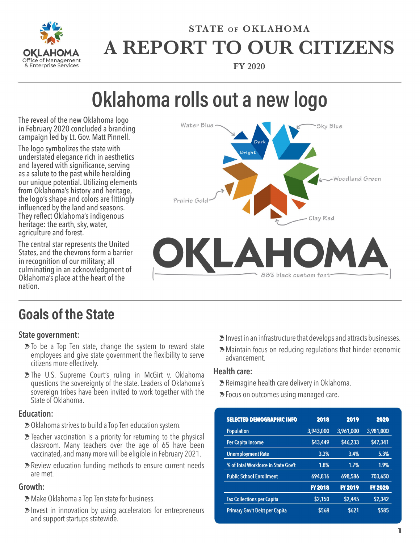

## **STATE OF OKLAHOMA A REPORT TO OUR CITIZENS**

**FY 2020**

# **Oklahoma rolls out a new logo**

The reveal of the new Oklahoma logo in February 2020 concluded a branding campaign led by Lt. Gov. Matt Pinnell.

The logo symbolizes the state with understated elegance rich in aesthetics and layered with significance, serving as a salute to the past while heralding our unique potential. Utilizing elements from Oklahoma's history and heritage, the logo's shape and colors are fittingly influenced by the land and seasons. They reflect Oklahoma's indigenous heritage: the earth, sky, water, agriculture and forest.

The central star represents the United States, and the chevrons form a barrier in recognition of our military; all culminating in an acknowledgment of Oklahoma's place at the heart of the nation.



### **Goals of the State**

#### **State government:**

- $\geq$  To be a Top Ten state, change the system to reward state employees and give state government the flexibility to serve citizens more effectively.
- **E**The U.S. Supreme Court's ruling in McGirt v. Oklahoma questions the sovereignty of the state. Leaders of Oklahoma's sovereign tribes have been invited to work together with the State of Oklahoma.

#### **Education:**

- **≥**Oklahoma strives to build a Top Ten education system.
- $\Sigma$  Teacher vaccination is a priority for returning to the physical classroom. Many teachers over the age of 65 have been vaccinated, and many more will be eligible in February 2021.
- >Review education funding methods to ensure current needs are met.

#### **Growth:**

- >Make Oklahoma a Top Ten state for business.
- $\geq$  lnvest in innovation by using accelerators for entrepreneurs and support startups statewide.
- $\geq$  lnvest in an infrastructure that develops and attracts businesses.
- >Maintain focus on reducing regulations that hinder economic advancement.

#### **Health care:**

- >Reimagine health care delivery in Oklahoma.
- $\geq$  Focus on outcomes using managed care.

| <b>SELECTED DEMOGRAPHIC INFO</b>    | 2018           | 2019           | 2020           |
|-------------------------------------|----------------|----------------|----------------|
| <b>Population</b>                   | 3,943,000      | 3,961,000      | 3,981,000      |
| Per Capita Income                   | \$43,449       | \$46,233       | \$47,341       |
| <b>Unemployment Rate</b>            | 3.3%           | 3.4%           | 5.3%           |
| % of Total Workforce in State Gov't | 1.8%           | 1.7%           | 1.9%           |
| <b>Public School Enrollment</b>     | 694,816        | 698,586        | 703,650        |
|                                     | <b>FY 2018</b> | <b>FY 2019</b> | <b>FY 2020</b> |
| <b>Tax Collections per Capita</b>   | \$2,150        | \$2,445        | \$2,342        |
| Primary Gov't Debt per Capita       | \$568          | \$621          | \$585          |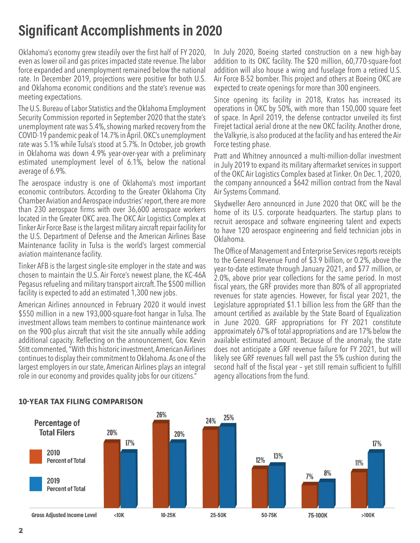### **Significant Accomplishments in 2020**

Oklahoma's economy grew steadily over the first half of FY 2020, even as lower oil and gas prices impacted state revenue. The labor force expanded and unemployment remained below the national rate. In December 2019, projections were positive for both U.S. and Oklahoma economic conditions and the state's revenue was meeting expectations.

The U.S. Bureau of Labor Statistics and the Oklahoma Employment Security Commission reported in September 2020 that the state's unemployment rate was 5.4%, showing marked recovery from the COVID-19 pandemic peak of 14.7% in April. OKC's unemployment rate was 5.1% while Tulsa's stood at 5.7%. In October, job growth in Oklahoma was down 4.9% year-over-year with a preliminary estimated unemployment level of 6.1%, below the national average of 6.9%.

The aerospace industry is one of Oklahoma's most important economic contributors. According to the Greater Oklahoma City Chamber Aviation and Aerospace industries' report, there are more than 230 aerospace firms with over 36,600 aerospace workers located in the Greater OKC area. The OKC Air Logistics Complex at Tinker Air Force Base is the largest military aircraft repair facility for the U.S. Department of Defense and the American Airlines Base Maintenance facility in Tulsa is the world's largest commercial aviation maintenance facility.

Tinker AFB is the largest single-site employer in the state and was chosen to maintain the U.S. Air Force's newest plane, the KC-46A Pegasus refueling and military transport aircraft. The \$500 million facility is expected to add an estimated 1,300 new jobs.

American Airlines announced in February 2020 it would invest \$550 million in a new 193,000-square-foot hangar in Tulsa. The investment allows team members to continue maintenance work on the 900-plus aircraft that visit the site annually while adding additional capacity. Reflecting on the announcement, Gov. Kevin Stitt commented, "With this historic investment, American Airlines continues to display their commitment to Oklahoma. As one of the largest employers in our state, American Airlines plays an integral role in our economy and provides quality jobs for our citizens."

In July 2020, Boeing started construction on a new high-bay addition to its OKC facility. The \$20 million, 60,770-square-foot addition will also house a wing and fuselage from a retired U.S. Air Force B-52 bomber. This project and others at Boeing OKC are expected to create openings for more than 300 engineers.

Since opening its facility in 2018, Kratos has increased its operations in OKC by 50%, with more than 150,000 square feet of space. In April 2019, the defense contractor unveiled its first Firejet tactical aerial drone at the new OKC facility. Another drone, the Valkyrie, is also produced at the facility and has entered the Air Force testing phase.

Pratt and Whitney announced a multi-million-dollar investment in July 2019 to expand its military aftermarket services in support of the OKC Air Logistics Complex based at Tinker. On Dec. 1, 2020, the company announced a \$642 million contract from the Naval Air Systems Command.

Skydweller Aero announced in June 2020 that OKC will be the home of its U.S. corporate headquarters. The startup plans to recruit aerospace and software engineering talent and expects to have 120 aerospace engineering and field technician jobs in Oklahoma.

The Office of Management and Enterprise Services reports receipts to the General Revenue Fund of \$3.9 billion, or 0.2%, above the year-to-date estimate through January 2021, and \$77 million, or 2.0%, above prior year collections for the same period. In most fiscal years, the GRF provides more than 80% of all appropriated revenues for state agencies. However, for fiscal year 2021, the Legislature appropriated \$1.1 billion less from the GRF than the amount certified as available by the State Board of Equalization in June 2020. GRF appropriations for FY 2021 constitute approximately 67% of total appropriations and are 17% below the available estimated amount. Because of the anomaly, the state does not anticipate a GRF revenue failure for FY 2021, but will likely see GRF revenues fall well past the 5% cushion during the second half of the fiscal year – yet still remain sufficient to fulfill agency allocations from the fund.



#### **10-YEAR TAX FILING COMPARISON**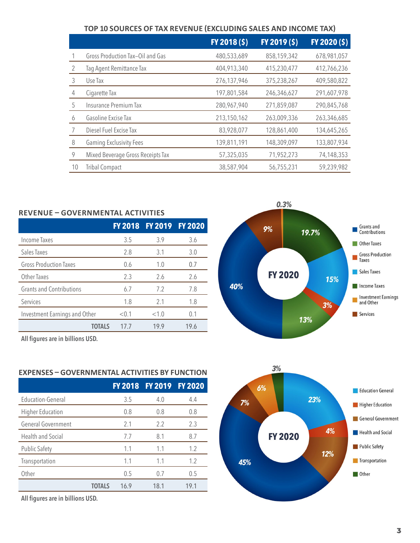|  | TOP 10 SOURCES OF TAX REVENUE (EXCLUDING SALES AND INCOME TAX) |
|--|----------------------------------------------------------------|
|--|----------------------------------------------------------------|

|    |                                   | FY 2018 (\$) | FY 2019 (\$) | $FY$ 2020 (\$) |
|----|-----------------------------------|--------------|--------------|----------------|
|    | Gross Production Tax-Oil and Gas  | 480,533,689  | 858,159,342  | 678,981,057    |
|    | Tag Agent Remittance Tax          | 404,913,340  | 415,230,477  | 412,766,236    |
| 3  | Use Tax                           | 276,137,946  | 375,238,267  | 409,580,822    |
| 4  | Cigarette Tax                     | 197,801,584  | 246,346,627  | 291,607,978    |
| 5  | Insurance Premium Tax             | 280,967,940  | 271,859,087  | 290,845,768    |
| 6  | Gasoline Excise Tax               | 213,150,162  | 263,009,336  | 263,346,685    |
|    | Diesel Fuel Excise Tax            | 83,928,077   | 128,861,400  | 134,645,265    |
| 8  | <b>Gaming Exclusivity Fees</b>    | 139,811,191  | 148,309,097  | 133,807,934    |
| 9  | Mixed Beverage Gross Receipts Tax | 57,325,035   | 71,952,273   | 74,148,353     |
| 10 | <b>Tribal Compact</b>             | 38,587,904   | 56,755,231   | 59,239,982     |

| REVENUE – GOVERNMENTAL ACTIVITIES |                |                |                |  |
|-----------------------------------|----------------|----------------|----------------|--|
|                                   | <b>FY 2018</b> | <b>FY 2019</b> | <b>FY 2020</b> |  |
| Income Taxes                      | 3.5            | 3.9            | 3.6            |  |
| Sales Taxes                       | 2.8            | 3.1            | 3.0            |  |
| <b>Gross Production Taxes</b>     | 0.6            | 1.0            | 0.7            |  |
| <b>Other Taxes</b>                | 2.3            | 2.6            | 2.6            |  |
| <b>Grants and Contributions</b>   | 6.7            | 7.2            | 7.8            |  |
| Services                          | 1.8            | 2.1            | 1.8            |  |
| Investment Earnings and Other     | < 0.1          | <1.0           | 0.1            |  |
| TOTALS                            | 17.7           | 19.9           | 19.6           |  |



| LAFLINJLJ<br>AL AL<br>1LJ DI<br><b>FUNCIBUN</b> |                |                |                |  |
|-------------------------------------------------|----------------|----------------|----------------|--|
|                                                 | <b>FY 2018</b> | <b>FY 2019</b> | <b>FY 2020</b> |  |
| Education-General                               | 3.5            | 4.0            | 4.4            |  |
| <b>Higher Education</b>                         | 0.8            | 0.8            | 0.8            |  |
| General Government                              | 2.1            | 2.2            | 2.3            |  |
| Health and Social                               | 7.7            | 8.1            | 8.7            |  |
| <b>Public Safety</b>                            | 1.1            | 1.1            | 1.2            |  |
| Transportation                                  | 1.1            | 1.1            | 1.2            |  |
| Other                                           | 0.5            | 0.7            | 0.5            |  |
| <b>TOTALS</b>                                   | 16.9           | 18.1           | 19.1           |  |
|                                                 |                |                |                |  |

**All figures are in billions USD.**

**All figures are in billions USD.**